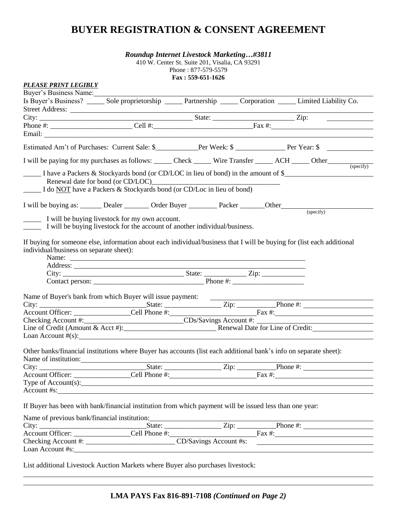# **BUYER REGISTRATION & CONSENT AGREEMENT**

| <b>Roundup Internet Livestock Marketing#3811</b> |  |
|--------------------------------------------------|--|

410 W. Center St. Suite 201, Visalia, CA 93291 Phone : 877-579-5579 **Fax : 559-651-1626**

| <b>PLEASE PRINT LEGIBLY</b>                                                                         |                                                                                                                              |  |                                                                                                                         |
|-----------------------------------------------------------------------------------------------------|------------------------------------------------------------------------------------------------------------------------------|--|-------------------------------------------------------------------------------------------------------------------------|
| Buyer's Business Name:                                                                              |                                                                                                                              |  |                                                                                                                         |
|                                                                                                     |                                                                                                                              |  | Is Buyer's Business? ______ Sole proprietorship ______ Partnership ______ Corporation ______ Limited Liability Co.      |
|                                                                                                     | Street Address:                                                                                                              |  |                                                                                                                         |
|                                                                                                     |                                                                                                                              |  |                                                                                                                         |
|                                                                                                     |                                                                                                                              |  | Phone #: $\overline{\text{Cell H}:}$ $\overline{\text{Cell H}:}$ $\overline{\text{Real H}:}$ $\overline{\text{Fac H}:}$ |
|                                                                                                     |                                                                                                                              |  |                                                                                                                         |
|                                                                                                     |                                                                                                                              |  |                                                                                                                         |
|                                                                                                     |                                                                                                                              |  | Estimated Am't of Purchases: Current Sale: \$___________Per Week: \$ ______________Per Year: \$                         |
|                                                                                                     |                                                                                                                              |  | I will be paying for my purchases as follows: _____ Check _____ Wire Transfer _____ ACH _____ Other _____ (specify)     |
|                                                                                                     | Renewal date for bond (or CD/LOC)<br>I do NOT have a Packers & Stockyards bond (or CD/Loc in lieu of bond)                   |  | I have a Packers & Stockyards bond (or CD/LOC in lieu of bond) in the amount of \$                                      |
| I will be buying as: _______ Dealer ________ Order Buyer ________ Packer _______ Other ____________ |                                                                                                                              |  |                                                                                                                         |
|                                                                                                     | I will be buying livestock for my own account.<br>I will be buying livestock for the account of another individual/business. |  | (specify)                                                                                                               |
| individual/business on separate sheet):                                                             |                                                                                                                              |  | If buying for someone else, information about each individual/business that I will be buying for (list each additional  |
| Name of Buyer's bank from which Buyer will issue payment: ______________________                    |                                                                                                                              |  |                                                                                                                         |
|                                                                                                     |                                                                                                                              |  |                                                                                                                         |
|                                                                                                     |                                                                                                                              |  |                                                                                                                         |
|                                                                                                     |                                                                                                                              |  |                                                                                                                         |
|                                                                                                     | Loan Account $\#(s)$ : $\qquad \qquad \qquad$                                                                                |  |                                                                                                                         |
| Name of institution:                                                                                | Other banks/financial institutions where Buyer has accounts (list each additional bank's info on separate sheet):            |  |                                                                                                                         |
|                                                                                                     |                                                                                                                              |  |                                                                                                                         |
|                                                                                                     | Type of Account(s): 1999                                                                                                     |  |                                                                                                                         |
|                                                                                                     |                                                                                                                              |  |                                                                                                                         |
|                                                                                                     | If Buyer has been with bank/financial institution from which payment will be issued less than one year:                      |  |                                                                                                                         |
|                                                                                                     | Name of previous bank/financial institution: ___________________________________                                             |  |                                                                                                                         |
|                                                                                                     |                                                                                                                              |  | City: State: State: Zip: Phone #: Phone #: Phone #: Account Officer: Cell Phone #:                                      |
|                                                                                                     |                                                                                                                              |  |                                                                                                                         |
|                                                                                                     |                                                                                                                              |  |                                                                                                                         |
|                                                                                                     | Loan Account #s: New York 2018 19:00 19:00 19:00 19:00 19:00 19:00 19:00 19:00 19:00 19:00 19:00 19:00 19:00 1               |  |                                                                                                                         |
|                                                                                                     |                                                                                                                              |  |                                                                                                                         |

List additional Livestock Auction Markets where Buyer also purchases livestock: